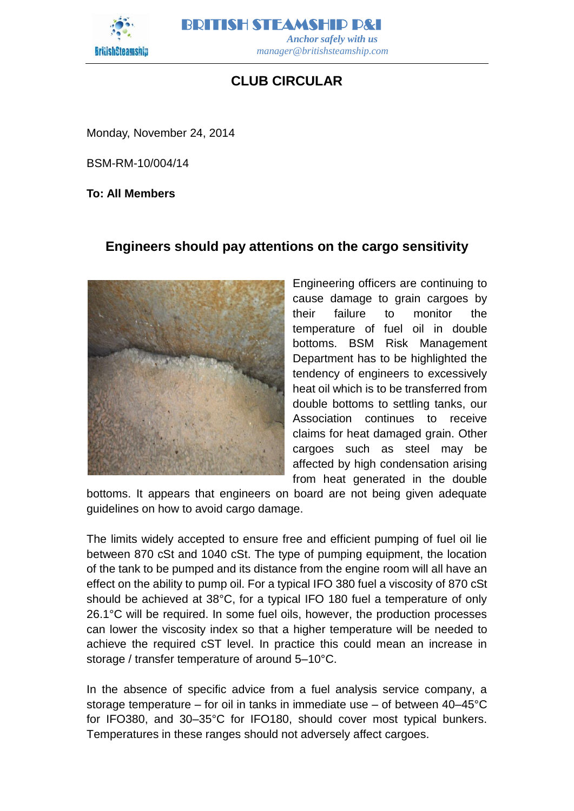

BRITISH STEAMSHIP P&I  *Anchor safely with us manager@britishsteamship.com* 

## **CLUB CIRCULAR**

Monday, November 24, 2014

BSM-RM-10/004/14

**To: All Members**

## **Engineers should pay attentions on the cargo sensitivity**



Engineering officers are continuing to cause damage to grain cargoes by their failure to monitor the temperature of fuel oil in double bottoms. BSM Risk Management Department has to be highlighted the tendency of engineers to excessively heat oil which is to be transferred from double bottoms to settling tanks, our Association continues to receive claims for heat damaged grain. Other cargoes such as steel may be affected by high condensation arising from heat generated in the double

bottoms. It appears that engineers on board are not being given adequate guidelines on how to avoid cargo damage.

The limits widely accepted to ensure free and efficient pumping of fuel oil lie between 870 cSt and 1040 cSt. The type of pumping equipment, the location of the tank to be pumped and its distance from the engine room will all have an effect on the ability to pump oil. For a typical IFO 380 fuel a viscosity of 870 cSt should be achieved at 38°C, for a typical IFO 180 fuel a temperature of only 26.1°C will be required. In some fuel oils, however, the production processes can lower the viscosity index so that a higher temperature will be needed to achieve the required cST level. In practice this could mean an increase in storage / transfer temperature of around 5–10°C.

In the absence of specific advice from a fuel analysis service company, a storage temperature – for oil in tanks in immediate use – of between 40–45°C for IFO380, and 30–35°C for IFO180, should cover most typical bunkers. Temperatures in these ranges should not adversely affect cargoes.